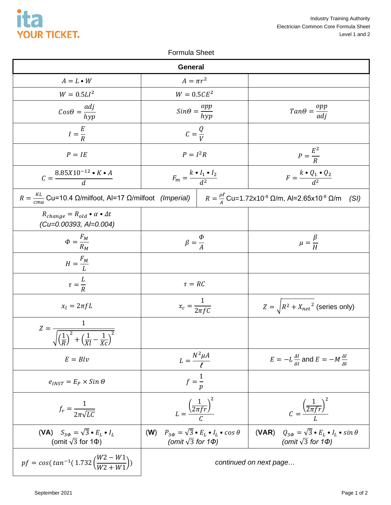

## Formula Sheet

| <b>General</b>                                                                                 |                                                                                                        |  |                                                                                                          |  |  |
|------------------------------------------------------------------------------------------------|--------------------------------------------------------------------------------------------------------|--|----------------------------------------------------------------------------------------------------------|--|--|
| $A = L \bullet W$                                                                              | $A = \pi r^2$                                                                                          |  |                                                                                                          |  |  |
| $W = 0.5LI^2$                                                                                  | $W = 0.5CE^2$                                                                                          |  |                                                                                                          |  |  |
| $Cos\theta = \frac{adj}{hyp}$                                                                  | $Sin\theta = \frac{opp}{hyp}$                                                                          |  | $Tan\theta = \frac{opp}{adj}$                                                                            |  |  |
| $I=\frac{E}{R}$                                                                                | $C=\frac{Q}{V}$                                                                                        |  |                                                                                                          |  |  |
| $P = IE$                                                                                       | $P = I^2 R$                                                                                            |  | $P = \frac{E^2}{R}$                                                                                      |  |  |
| $C = \frac{8.85X10^{-12} \cdot K \cdot A}{d}$                                                  | $F_m = \frac{k \cdot I_1 \cdot I_2}{d^2}$                                                              |  | $F = \frac{k \cdot Q_1 \cdot Q_2}{d^2}$                                                                  |  |  |
| $R = \frac{KL}{cma}$ Cu=10.4 Ω/milfoot, Al=17 Ω/milfoot (Imperial)                             |                                                                                                        |  | $R = \frac{\rho l}{4}$ Cu=1.72x10 <sup>-8</sup> Ω/m, Al=2.65x10 <sup>-8</sup> Ω/m<br>(SI)                |  |  |
| $R_{change} = R_{old} \cdot \alpha \cdot \Delta t$<br>(Cu=0.00393, Al=0.004)                   |                                                                                                        |  |                                                                                                          |  |  |
| $\Phi = \frac{F_M}{R_M}$                                                                       | $\beta = \frac{\varphi}{4}$                                                                            |  | $\mu = \frac{\beta}{H}$                                                                                  |  |  |
| $H=\frac{F_M}{I}$                                                                              |                                                                                                        |  |                                                                                                          |  |  |
| $\tau = \frac{L}{R}$                                                                           | $\tau = RC$                                                                                            |  |                                                                                                          |  |  |
| $x_l = 2\pi fL$                                                                                | $x_c = \frac{1}{2\pi fC}$                                                                              |  | $Z = \sqrt{R^2 + X_{net}^2}$ (series only)                                                               |  |  |
| $Z = \frac{1}{\sqrt{\left(\frac{1}{R}\right)^2 + \left(\frac{1}{Xl} - \frac{1}{Xc}\right)^2}}$ |                                                                                                        |  |                                                                                                          |  |  |
| $E = Blv$                                                                                      | $L = \frac{N^2 \mu A}{\ell}$                                                                           |  | $E = -L \frac{\Delta I}{\Delta t}$ and $E = -M \frac{\Delta I}{\Delta t}$                                |  |  |
| $e_{INST} = E_P \times Sin \Theta$                                                             | $f=\frac{1}{p}$                                                                                        |  |                                                                                                          |  |  |
| $f_r = \frac{1}{2\pi\sqrt{LC}}$                                                                | $L = \frac{\left(\frac{1}{2\pi f r}\right)^2}{c}$                                                      |  | $C = \frac{\left(\frac{1}{2\pi f r}\right)^2}{r}$                                                        |  |  |
| (VA) $S_{3\phi} = \sqrt{3} \cdot E_L \cdot I_L$<br>(omit $\sqrt{3}$ for 1 $\Phi$ )             | $P_{3\phi} = \sqrt{3} \cdot E_L \cdot I_L \cdot \cos \theta$<br>(W)<br>(omit $\sqrt{3}$ for 1 $\Phi$ ) |  | $Q_{3\phi} = \sqrt{3} \cdot E_L \cdot I_L \cdot \sin \theta$<br>(VAR)<br>(omit $\sqrt{3}$ for 1 $\Phi$ ) |  |  |
| $pf = cos(tan^{-1}(1.732\left(\frac{W2-W1}{W2+W1}\right))$                                     | continued on next page                                                                                 |  |                                                                                                          |  |  |